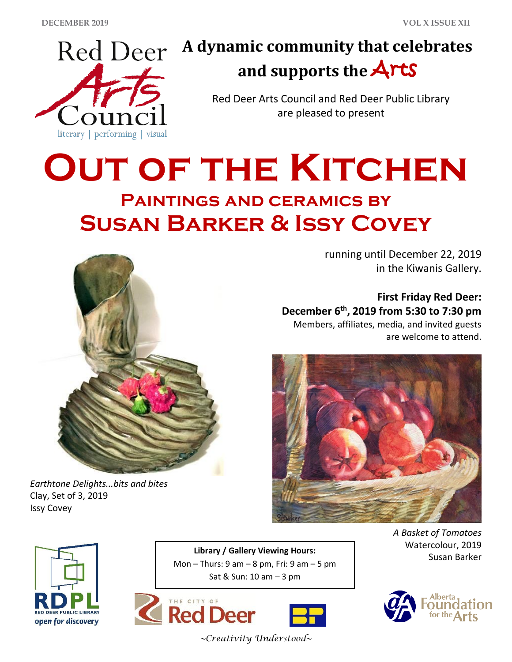

# **A dynamic community that celebrates and supports the** Arts

Red Deer Arts Council and Red Deer Public Library are pleased to present

# **OUT OF THE KITCHEN Paintings and ceramics by Susan Barker & Issy Covey**



*Earthtone Delights...bits and bites* Clay, Set of 3, 2019 Issy Covey

running until December 22, 2019 in the Kiwanis Gallery.

**First Friday Red Deer: December 6th , 2019 from 5:30 to 7:30 pm**

Members, affiliates, media, and invited guests are welcome to attend.





**Library / Gallery Viewing Hours:**<br>Susan Barker Mon – Thurs:  $9$  am –  $8$  pm, Fri:  $9$  am –  $5$  pm Sat & Sun: 10 am – 3 pm





*A Basket of Tomatoes* Watercolour, 2019



*~Creativity Understood~*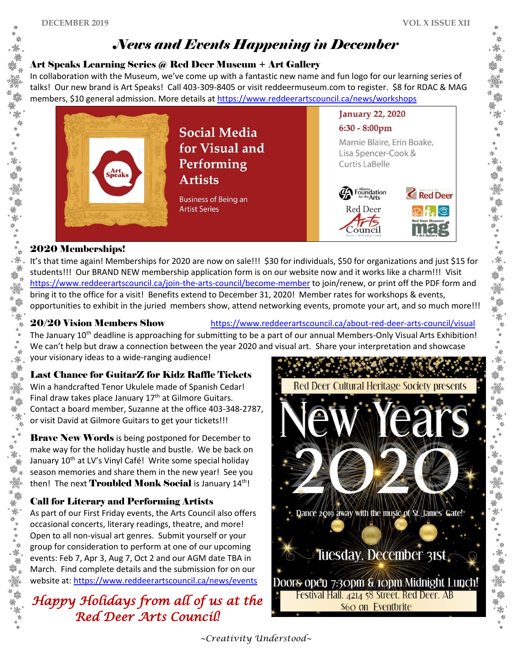้ 酅. 鮝

鑑

潑

鸞 鮝 鎏。 爨

养蠶

鹭

# *News and Events Happening in December*

### Art Speaks Learning Series @ Red Deer Museum + Art Gallery

In collaboration with the Museum, we've come up with a fantastic new name and fun logo for our learning series of talks! Our new brand is Art Speaks! Call 403-309-8405 or visit reddeermuseum.com to register. \$8 for RDAC & MAG members, \$10 general admission. More details a[t https://www.reddeerartscouncil.ca/news/workshops](https://www.reddeerartscouncil.ca/news/workshops)



### 2020 Memberships!

. 豫

"" \*

擲 "" \* 1 It's that time again! Memberships for 2020 are now on sale!!! \$30 for individuals, \$50 for organizations and just \$15 for students!!! Our BRAND NEW membership application form is on our website now and it works like a charm!!! Visit <https://www.reddeerartscouncil.ca/join-the-arts-council/become-member> to join/renew, or print off the PDF form and bring it to the office for a visit! Benefits extend to December 31, 2020! Member rates for workshops & events, opportunities to exhibit in the juried members show, attend networking events, promote your art, and so much more!!!

20/20 Vision Members Show <https://www.reddeerartscouncil.ca/about-red-deer-arts-council/visual>

The January  $10^{th}$  deadline is approaching for submitting to be a part of our annual Members-Only Visual Arts Exhibition! We can't help but draw a connection between the year 2020 and visual art. Share your interpretation and showcase your visionary ideas to a wide-ranging audience!

# Last Chance for GuitarZ for Kidz Raffle Tickets

Win a handcrafted Tenor Ukulele made of Spanish Cedar! Final draw takes place January 17<sup>th</sup> at Gilmore Guitars. Contact a board member, Suzanne at the office 403-348-2787, or visit David at Gilmore Guitars to get your tickets!!!

**Brave New Words** is being postponed for December to make way for the holiday hustle and bustle. We be back on January 10<sup>th</sup> at LV's Vinyl Café! Write some special holiday season memories and share them in the new year! See you then! The next **Troubled Monk Social** is January 14<sup>th</sup>!

# Call for Literary and Performing Artists

As part of our First Friday events, the Arts Council also offers occasional concerts, literary readings, theatre, and more! Open to all non-visual art genres. Submit yourself or your group for consideration to perform at one of our upcoming events: Feb 7, Apr 3, Aug 7, Oct 2 and our AGM date TBA in March. Find complete details and the submission for on our website at:<https://www.reddeerartscouncil.ca/news/events>

*Happy Holidays from all of us at the Red Deer Arts Council!*



*~Creativity Understood~*